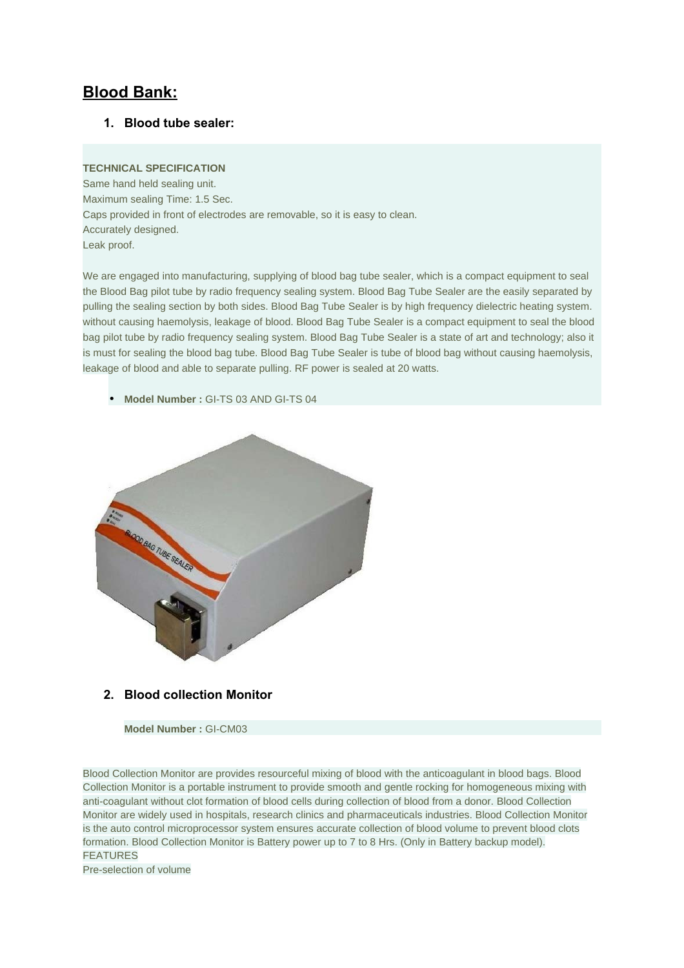# **Blood Bank:**

**1. Blood tube sealer:**

#### **TECHNICAL SPECIFICATION**

Same hand held sealing unit. Maximum sealing Time: 1.5 Sec. Caps provided in front of electrodes are removable, so it is easy to clean. Accurately designed. Leak proof.

We are engaged into manufacturing, supplying of blood bag tube sealer, which is a compact equipment to seal the Blood Bag pilot tube by radio frequency sealing system. Blood Bag Tube Sealer are the easily separated by pulling the sealing section by both sides. Blood Bag Tube Sealer is by high frequency dielectric heating system. without causing haemolysis, leakage of blood. Blood Bag Tube Sealer is a compact equipment to seal the blood bag pilot tube by radio frequency sealing system. Blood Bag Tube Sealer is a state of art and technology; also it is must for sealing the blood bag tube. Blood Bag Tube Sealer is tube of blood bag without causing haemolysis, leakage of blood and able to separate pulling. RF power is sealed at 20 watts.

• **Model Number :** GI-TS 03 AND GI-TS 04



### **2. Blood collection Monitor**

**Model Number :** GI-CM03

Blood Collection Monitor are provides resourceful mixing of blood with the anticoagulant in blood bags. Blood Collection Monitor is a portable instrument to provide smooth and gentle rocking for homogeneous mixing with anti-coagulant without clot formation of blood cells during collection of blood from a donor. Blood Collection Monitor are widely used in hospitals, research clinics and pharmaceuticals industries. Blood Collection Monitor is the auto control microprocessor system ensures accurate collection of blood volume to prevent blood clots formation. Blood Collection Monitor is Battery power up to 7 to 8 Hrs. (Only in Battery backup model). FEATURES Pre-selection of volume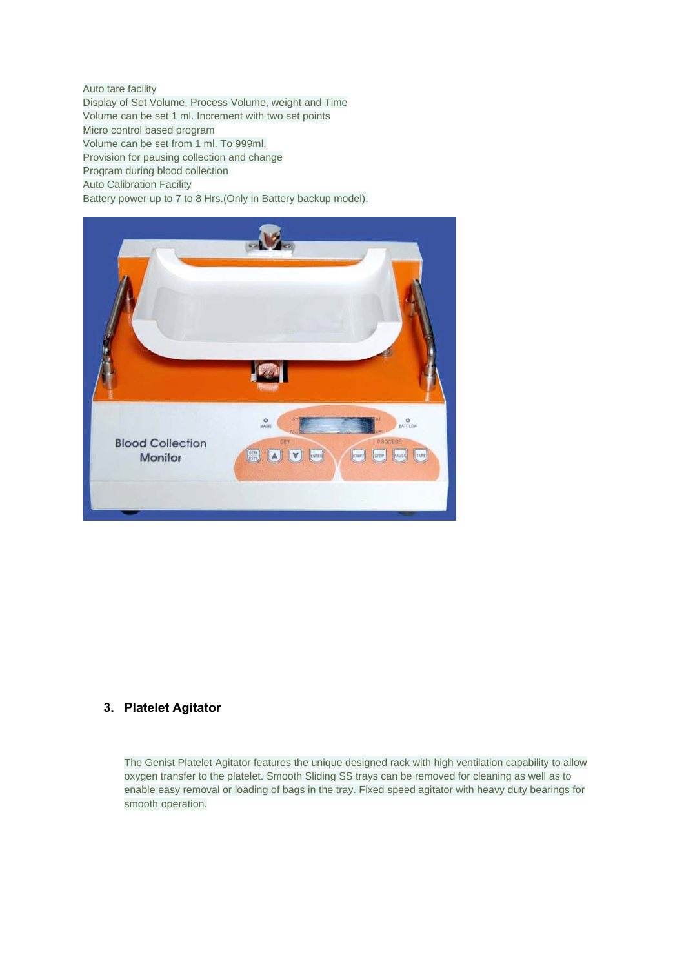Auto tare facility Display of Set Volume, Process Volume, weight and Time Volume can be set 1 ml. Increment with two set points Micro control based program Volume can be set from 1 ml. To 999ml. Provision for pausing collection and change Program during blood collection Auto Calibration Facility

Battery power up to 7 to 8 Hrs.(Only in Battery backup model).



## **3. Platelet Agitator**

The Genist Platelet Agitator features the unique designed rack with high ventilation capability to allow oxygen transfer to the platelet. Smooth Sliding SS trays can be removed for cleaning as well as to enable easy removal or loading of bags in the tray. Fixed speed agitator with heavy duty bearings for smooth operation.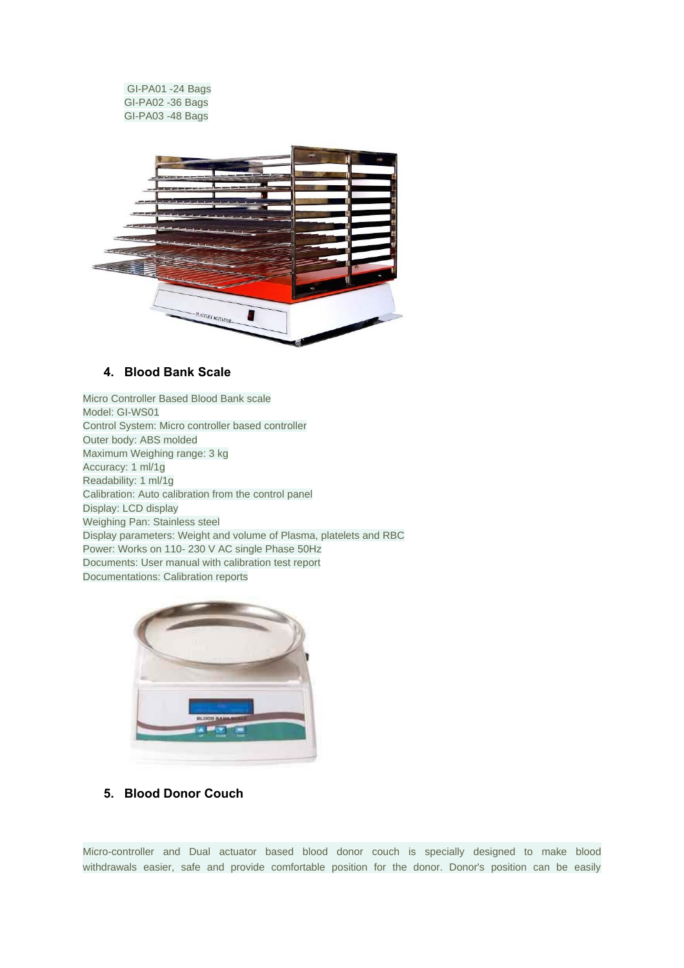GI-PA01 -24 Bags GI-PA02 -36 Bags GI-PA03 -48 Bags



## **4. Blood Bank Scale**

Micro Controller Based Blood Bank scale Model: GI-WS01 Control System: Micro controller based controller Outer body: ABS molded Maximum Weighing range: 3 kg Accuracy: 1 ml/1g Readability: 1 ml/1g Calibration: Auto calibration from the control panel Display: LCD display Weighing Pan: Stainless steel Display parameters: Weight and volume of Plasma, platelets and RBC Power: Works on 110- 230 V AC single Phase 50Hz Documents: User manual with calibration test report Documentations: Calibration reports



**5. Blood Donor Couch** 

Micro-controller and Dual actuator based blood donor couch is specially designed to make blood withdrawals easier, safe and provide comfortable position for the donor. Donor's position can be easily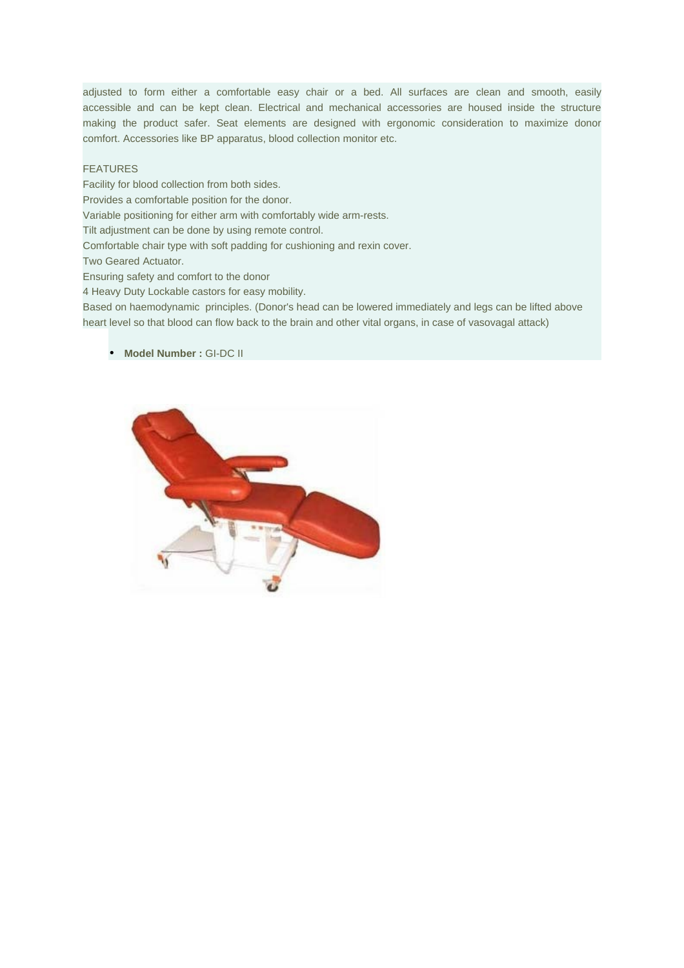adjusted to form either a comfortable easy chair or a bed. All surfaces are clean and smooth, easily accessible and can be kept clean. Electrical and mechanical accessories are housed inside the structure making the product safer. Seat elements are designed with ergonomic consideration to maximize donor comfort. Accessories like BP apparatus, blood collection monitor etc.

#### FEATURES

Facility for blood collection from both sides. Provides a comfortable position for the donor. Variable positioning for either arm with comfortably wide arm-rests. Tilt adjustment can be done by using remote control. Comfortable chair type with soft padding for cushioning and rexin cover. Two Geared Actuator. Ensuring safety and comfort to the donor 4 Heavy Duty Lockable castors for easy mobility. Based on haemodynamic principles. (Donor's head can be lowered immediately and legs can be lifted above heart level so that blood can flow back to the brain and other vital organs, in case of vasovagal attack)

#### • **Model Number :** GI-DC II